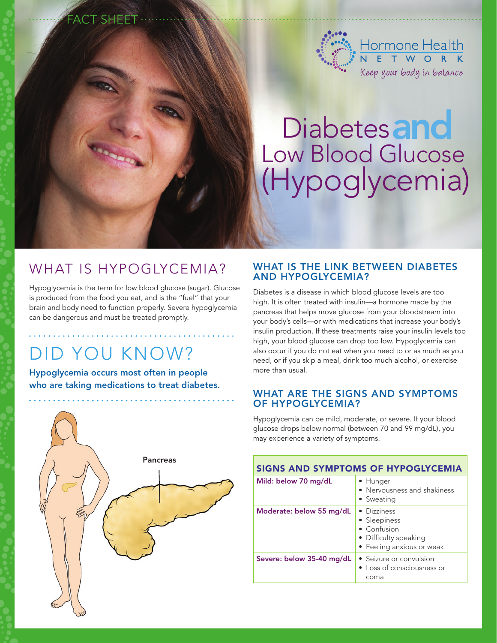

# Diabetes and Low Blood Glucose (Hypoglycemia)

## WHAT IS HYPOGLYCEMIA?

Fact Sheet

Hypoglycemia is the term for low blood glucose (sugar). Glucose is produced from the food you eat, and is the "fuel" that your brain and body need to function properly. Severe hypoglycemia can be dangerous and must be treated promptly.

# Did you know?

Hypoglycemia occurs most often in people who are taking medications to treat diabetes.



#### WHAT IS THE LINK BETWEEN DIABETES and hypoglycemia?

Diabetes is a disease in which blood glucose levels are too high. It is often treated with insulin—a hormone made by the pancreas that helps move glucose from your bloodstream into your body's cells—or with medications that increase your body's insulin production. If these treatments raise your insulin levels too high, your blood glucose can drop too low. Hypoglycemia can also occur if you do not eat when you need to or as much as you need, or if you skip a meal, drink too much alcohol, or exercise more than usual.

#### What are the signs and symptoms of hypoglycemia?

Hypoglycemia can be mild, moderate, or severe. If your blood glucose drops below normal (between 70 and 99 mg/dL), you may experience a variety of symptoms.

| SIGNS AND SYMPTOMS OF HYPOGLYCEMIA |                                                                                                          |
|------------------------------------|----------------------------------------------------------------------------------------------------------|
| Mild: below 70 mg/dL               | • Hunger<br>• Nervousness and shakiness<br>• Sweating                                                    |
| Moderate: below 55 mg/dL           | • Dizziness<br>• Sleepiness<br>$\bullet$ Confusion<br>• Difficulty speaking<br>• Feeling anxious or weak |
| Severe: below 35-40 mg/dL          | • Seizure or convulsion<br>• Loss of consciousness or<br>coma                                            |